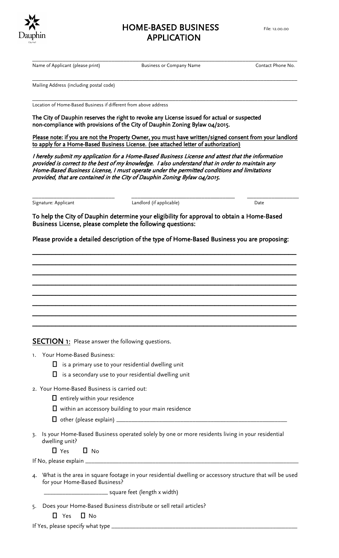

## HOME-BASED BUSINESS File: 12.00.00 APPLICATION

Name of Applicant (please print) Business or Company Name Contact Phone No.

\_\_\_\_\_\_\_\_\_\_\_\_\_\_\_\_\_\_\_\_\_\_\_\_\_\_\_\_\_\_\_\_\_\_\_\_\_\_\_\_\_\_\_\_\_\_\_\_\_\_\_\_\_\_\_\_\_\_\_\_\_\_\_\_\_\_\_\_\_\_\_\_\_\_\_\_\_\_\_\_\_\_\_\_\_\_\_

Mailing Address (including postal code)

\_\_\_\_\_\_\_\_\_\_\_\_\_\_\_\_\_\_\_\_\_\_\_\_\_\_\_\_\_\_\_\_\_\_\_\_\_\_\_\_\_\_\_\_\_\_\_\_\_\_\_\_\_\_\_\_\_\_\_\_\_\_\_\_\_\_\_\_\_\_\_\_\_\_\_\_\_\_\_\_\_\_\_\_\_\_\_ Location of Home-Based Business if different from above address

The City of Dauphin reserves the right to revoke any License issued for actual or suspected non-compliance with provisions of the City of Dauphin Zoning Bylaw 04/2015.

Please note: if you are not the Property Owner, you must have written/signed consent from your landlord to apply for a Home-Based Business License. (see attached letter of authorization)

I hereby submit my application for a Home-Based Business License and attest that the information provided is correct to the best of my knowledge. I also understand that in order to maintain any Home-Based Business License, I must operate under the permitted conditions and limitations provided, that are contained in the City of Dauphin Zoning Bylaw 04/2015.

| Signature: Applicant |  |  |
|----------------------|--|--|
|                      |  |  |

\_\_\_\_\_\_\_\_\_\_\_\_\_\_\_\_\_\_\_\_\_\_\_\_\_\_\_ \_\_\_\_\_\_\_\_\_\_\_\_\_\_\_\_\_\_\_\_\_\_\_\_\_\_\_\_\_\_\_\_\_\_ \_\_\_\_\_\_\_\_\_\_\_\_\_\_\_\_\_ Landlord (if applicable) and Landlord (if applicable) bate

To help the City of Dauphin determine your eligibility for approval to obtain a Home-Based Business License, please complete the following questions:

Please provide a detailed description of the type of Home-Based Business you are proposing:

\_\_\_\_\_\_\_\_\_\_\_\_\_\_\_\_\_\_\_\_\_\_\_\_\_\_\_\_\_\_\_\_\_\_\_\_\_\_\_\_\_\_\_\_\_\_\_\_\_\_\_\_\_\_\_\_\_\_\_\_\_\_\_\_\_\_\_\_  $\mathcal{L}_\text{max}$  , and the contract of the contract of the contract of the contract of the contract of the contract of the contract of the contract of the contract of the contract of the contract of the contract of the contr  $\mathcal{L}_\text{max}$  , and the contract of the contract of the contract of the contract of the contract of the contract of the contract of the contract of the contract of the contract of the contract of the contract of the contr \_\_\_\_\_\_\_\_\_\_\_\_\_\_\_\_\_\_\_\_\_\_\_\_\_\_\_\_\_\_\_\_\_\_\_\_\_\_\_\_\_\_\_\_\_\_\_\_\_\_\_\_\_\_\_\_\_\_\_\_\_\_\_\_\_\_\_\_ \_\_\_\_\_\_\_\_\_\_\_\_\_\_\_\_\_\_\_\_\_\_\_\_\_\_\_\_\_\_\_\_\_\_\_\_\_\_\_\_\_\_\_\_\_\_\_\_\_\_\_\_\_\_\_\_\_\_\_\_\_\_\_\_\_\_\_\_ \_\_\_\_\_\_\_\_\_\_\_\_\_\_\_\_\_\_\_\_\_\_\_\_\_\_\_\_\_\_\_\_\_\_\_\_\_\_\_\_\_\_\_\_\_\_\_\_\_\_\_\_\_\_\_\_\_\_\_\_\_\_\_\_\_\_\_\_  $\overline{\phantom{a}}$ \_\_\_\_\_\_\_\_\_\_\_\_\_\_\_\_\_\_\_\_\_\_\_\_\_\_\_\_\_\_\_\_\_\_\_\_\_\_\_\_\_\_\_\_\_\_\_\_\_\_\_\_\_\_\_\_\_\_\_\_\_\_\_\_\_\_\_\_

**SECTION 1:** Please answer the following questions.

- 1. Your Home-Based Business:
	- $\Box$  is a primary use to your residential dwelling unit
	- $\Box$  is a secondary use to your residential dwelling unit
- 2. Your Home-Based Business is carried out:
	- $\Box$  entirely within your residence
	- $\Box$  within an accessory building to your main residence
	- other (please explain) \_\_\_\_\_\_\_\_\_\_\_\_\_\_\_\_\_\_\_\_\_\_\_\_\_\_\_\_\_\_\_\_\_\_\_\_\_\_\_\_\_\_\_\_\_\_\_\_\_\_\_\_\_\_\_\_
- 3. Is your Home-Based Business operated solely by one or more residents living in your residential dwelling unit?

 $\Box$  Yes  $\Box$  No.

If No, please explain \_\_\_\_\_\_\_\_\_\_\_\_\_\_\_\_\_\_\_\_\_\_\_\_\_\_\_\_\_\_\_\_\_\_\_\_\_\_\_\_\_\_\_\_\_\_\_\_\_\_\_\_\_\_\_\_\_\_\_\_\_\_\_\_\_\_\_\_\_\_

4. What is the area in square footage in your residential dwelling or accessory structure that will be used for your Home-Based Business?

\_\_\_\_\_\_\_\_\_\_\_\_\_\_\_\_\_\_\_\_\_ square feet (length x width)

- 5. Does your Home-Based Business distribute or sell retail articles?
	- $\Box$  Yes  $\Box$  No

If Yes, please specify what type  $\equiv$